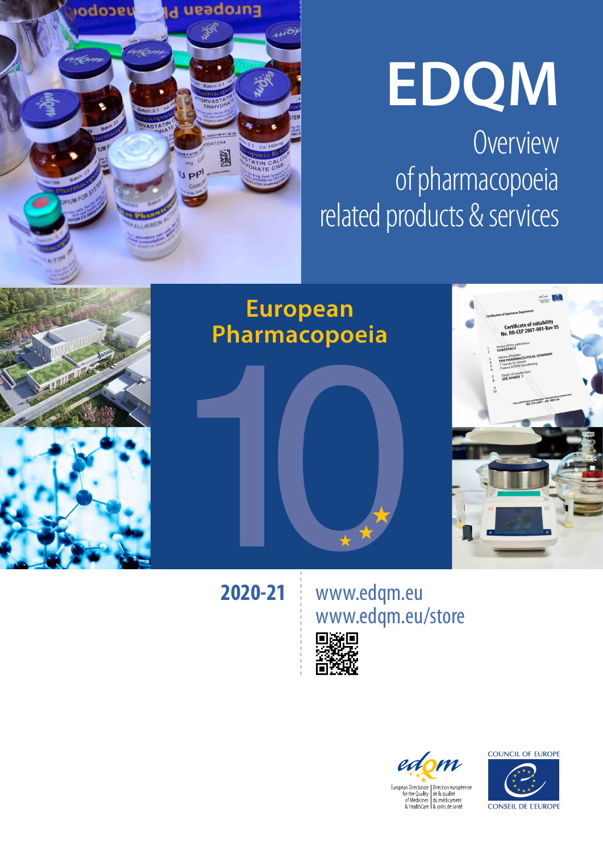

# **EDQM**

Overview of pharmacopoeia related products & services



**2020-21**

www.edqm.eu www.edqm.eu/store





**COUNCIL OF EUROPE** 

CONSEIL DE L'EUROPE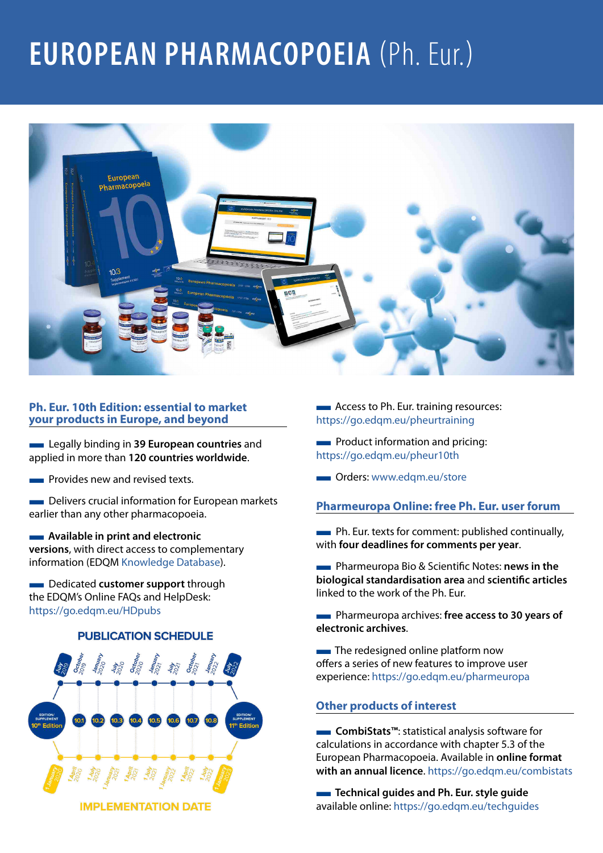### **EUROPEAN PHARMACOPOEIA** (Ph. Eur.)



#### **Ph. Eur. 10th Edition: essential to market your products in Europe, and beyond**

**Example 20 European countries** and applied in more than **120 countries worldwide**.

■ Provides new and revised texts.

**EXECUTE:** Delivers crucial information for European markets earlier than any other pharmacopoeia.

#### ■ **Available in print and electronic versions**, with direct access to complementary information (EDQM [Knowledge Database](https://extranet.edqm.eu/publications/recherches_sw.shtml)).

**EXECUTE:** Dedicated **customer support** through the EDQM's Online FAQs and HelpDesk: <https://go.edqm.eu/HDpubs>

#### **PUBLICATION SCHEDULE**



**IMPLEMENTATION DATE** 

**EXECUTE:** Access to Ph. Eur. training resources: <https://go.edqm.eu/pheurtraining>

**EXECUTE:** Product information and pricing: <https://go.edqm.eu/pheur10th>

**Communist Communist Communist Communist Communist Communist Communist Communist Communist Communist Communist Communist Communist Communist Communist Communist Communist Communist Communist Communist Communist Communist C** 

#### **Pharmeuropa Online: free Ph. Eur. user forum**

■ Ph. Eur. texts for comment: published continually, with **four deadlines for comments per year**.

■ Pharmeuropa Bio & Scientific Notes: **news in the biological standardisation area** and **scientific articles** linked to the work of the Ph. Eur.

**EXECUTE:** Pharmeuropa archives: free access to 30 years of **electronic archives**.

**The redesigned online platform now** offers a series of new features to improve user experience:<https://go.edqm.eu/pharmeuropa>

#### **Other products of interest**

■ **CombiStats™:** statistical analysis software for calculations in accordance with chapter 5.3 of the European Pharmacopoeia. Available in **online format with an annual licence**. <https://go.edqm.eu/combistats>

**EXECUTE:** Technical guides and Ph. Eur. style guide available online: https://go.edgm.eu/techquides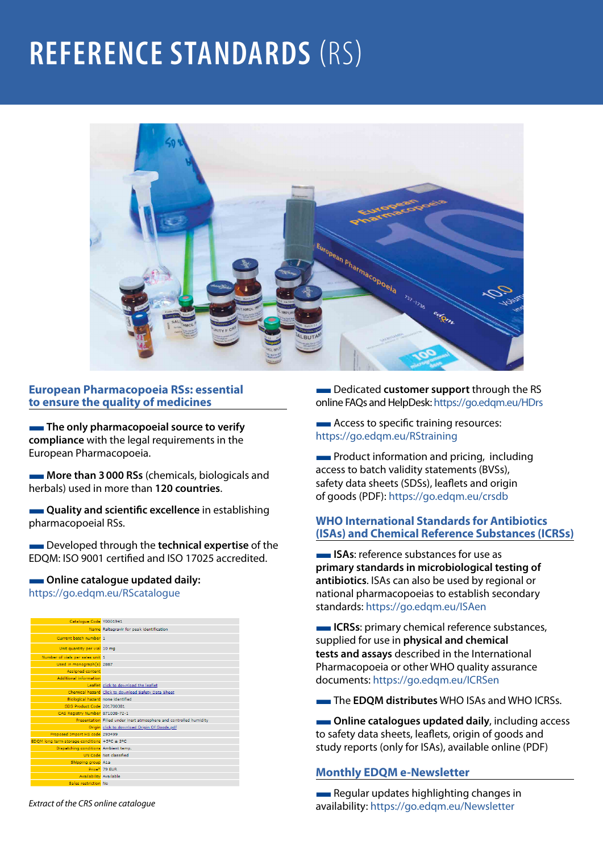### **REFERENCE STANDARDS** (RS)



#### **European Pharmacopoeia RSs: essential to ensure the quality of medicines**

**The only pharmacopoeial source to verify compliance** with the legal requirements in the European Pharmacopoeia.

**More than 3000 RSs** (chemicals, biologicals and herbals) used in more than **120 countries**.

**EXECUTE:** Quality and scientific excellence in establishing pharmacopoeial RSs.

**EXECUTE:** Developed through the **technical expertise** of the EDQM: ISO 9001 certified and ISO 17025 accredited.

#### $\blacksquare$  Online catalogue updated daily:

https://go.edqm.eu/RScatalogue



*Extract of the CRS online catalogue*

**EXECUTE:** Dedicated customer support through the RS online FAQs and HelpDesk: <https://go.edqm.eu/HDrs>

**EXECUTE:** Access to specific training resources: <https://go.edqm.eu/RStraining>

**EXECUTE:** Product information and pricing, including access to batch validity statements (BVSs), safety data sheets (SDSs), leaflets and origin of goods (PDF): <https://go.edqm.eu/crsdb>

#### **WHO International Standards for Antibiotics (ISAs) and Chemical Reference Substances (ICRSs)**

**ISAs:** reference substances for use as **primary standards in microbiological testing of antibiotics**. ISAs can also be used by regional or national pharmacopoeias to establish secondary standards:<https://go.edqm.eu/ISAen>

**ICRSs:** primary chemical reference substances, supplied for use in **physical and chemical tests and assays** described in the International Pharmacopoeia or other WHO quality assurance documents:<https://go.edqm.eu/ICRSen>

**The EDOM distributes** WHO ISAs and WHO ICRSs.

 $\blacksquare$  Online catalogues updated daily, including access to safety data sheets, leaflets, origin of goods and study reports (only for ISAs), available online (PDF)

#### **Monthly EDQM e-Newsletter**

**EXECUTE:** Regular updates highlighting changes in availability: <https://go.edqm.eu/Newsletter>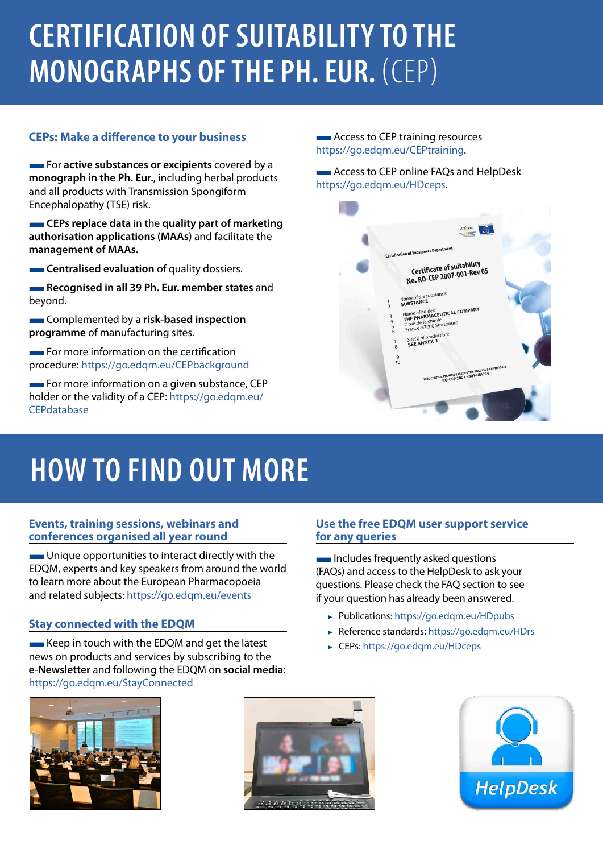## **CERTIFICATION OF SUITABILITY TO THE MONOGRAPHS OF THE PH. EUR.** (CEP)

#### **CEPs: Make a difference to your business**

**For active substances or excipients** covered by a **monograph in the Ph. Eur.**, including herbal products and all products with Transmission Spongiform Encephalopathy (TSE) risk.

**EXECUTE:** CEPs replace data in the quality part of marketing **authorisation applications (MAAs)** and facilitate the **management of MAAs.**

**Centralised evaluation** of quality dossiers.

**Recognised in all 39 Ph. Eur. member states** and beyond.

**EXECOMPLEMENTED BY A risk-based inspection programme** of manufacturing sites.

 $\blacksquare$  For more information on the certification procedure:<https://go.edqm.eu/CEPbackground>

**EXECUTE:** For more information on a given substance, CEP holder or the validity of a CEP: [https://go.edqm.eu/](https://go.edqm.eu/cepdatabase) **[CEPdatabase](https://go.edqm.eu/cepdatabase)** 

**EXECUTE:** Access to CEP training resources <https://go.edqm.eu/CEPtraining>.

**EXECUTE:** Access to CEP online FAQs and HelpDesk [https://go.edqm.eu/HDceps.](https://go.edqm.eu/HDceps)



### **HOW TO FIND OUT MORE**

#### **Events, training sessions, webinars and conferences organised all year round**

**EXECUTE:** Unique opportunities to interact directly with the EDQM, experts and key speakers from around the world to learn more about the European Pharmacopoeia and related subjects:<https://go.edqm.eu/events>

#### **Stay connected with the EDQM**

**EXECUTE:** Keep in touch with the EDQM and get the latest news on products and services by subscribing to the **e-Newsletter** and following the EDQM on **social media**: <https://go.edqm.eu/StayConnected>



#### **Use the free EDQM user support service for any queries**

**Includes frequently asked questions** (FAQs) and access to the HelpDesk to ask your questions. Please check the FAQ section to see if your question has already been answered.

- ► Publications: <https://go.edqm.eu/HDpubs>
- ► Reference standards:<https://go.edqm.eu/HDrs>
- ► CEPs:<https://go.edqm.eu/HDceps>

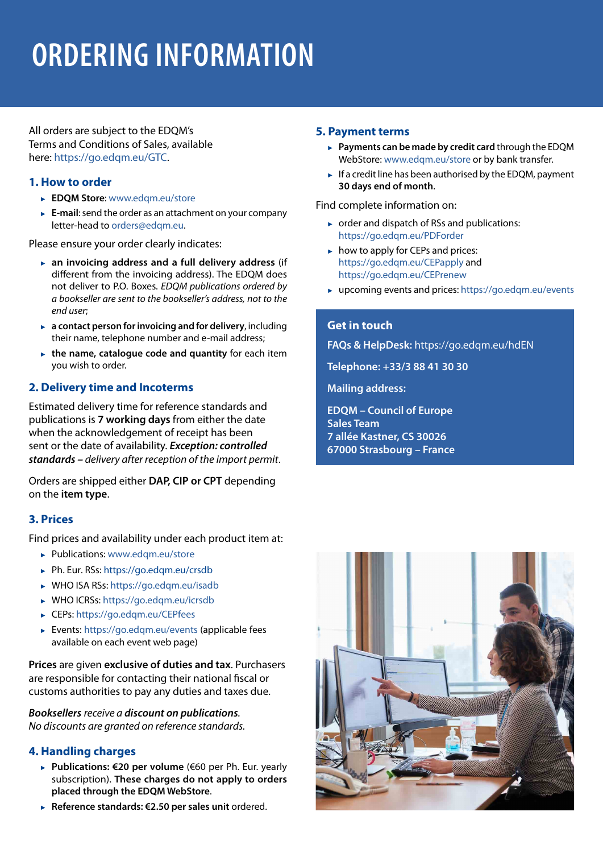## **ORDERING INFORMATION**

All orders are subject to the EDQM's Terms and Conditions of Sales, available here: [https://go.edqm.eu/GTC.](https://go.edqm.eu/GTC)

#### **1. How to order**

- ► **EDQM Store**: [www.edqm.eu/store](http://www.edqm.eu/store)
- ► **E-mail**: send the order as an attachment on your company letter-head to [orders@edqm.eu](mailto:orders%40edqm.eu?subject=).

Please ensure your order clearly indicates:

- ► **an invoicing address and a full delivery address** (if different from the invoicing address). The EDQM does not deliver to P.O. Boxes. *EDQM publications ordered by a bookseller are sent to the bookseller's address, not to the end user*;
- ► **a contact person for invoicing and for delivery**, including their name, telephone number and e-mail address;
- ► **the name, catalogue code and quantity** for each item you wish to order.

#### **2. Delivery time and Incoterms**

Estimated delivery time for reference standards and publications is **7 working days** from either the date when the acknowledgement of receipt has been sent or the date of availability. *Exception: controlled standards – delivery after reception of the import permit*.

Orders are shipped either **DAP, CIP or CPT** depending on the **item type**.

#### **3. Prices**

Find prices and availability under each product item at:

- ► Publications: [www.edqm.eu/store](http://www.edqm.eu/store)
- ► Ph. Eur. RSs:<https://go.edqm.eu/crsdb>
- ► WHO ISA RSs: h[ttps://go.edqm.eu/isadb](https://go.edqm.eu/isadb)
- ► WHO ICRSs: <https://go.edqm.eu/icrsdb>
- ► CEPs:<https://go.edqm.eu/CEPfees>
- ► Events: [https://go.edqm.eu/events \(ap](https://go.edqm.eu/events)plicable fees available on each event web page)

**Prices** are given **exclusive of duties and tax**. Purchasers are responsible for contacting their national fiscal or customs authorities to pay any duties and taxes due.

*Booksellers receive a discount on publications. No discounts are granted on reference standards.*

#### **4. Handling charges**

- ► **Publications: €20 per volume** (€60 per Ph. Eur. yearly subscription). **These charges do not apply to orders placed through the EDQM WebStore**.
- ► **Reference standards: €2.50 per sales unit** ordered.

#### **5. Payment terms**

- ► **Payments can be made by credit card** through the EDQM WebStore: [www.edqm.eu/store](https://www.edqm.eu/store) or by bank transfer.
- $\blacktriangleright$  If a credit line has been authorised by the EDQM, payment **30 days end of month**.

Find complete information on:

- ► order and dispatch of RSs and publications: <https://go.edqm.eu/PDForder>
- ► how to apply for CEPs and prices: <https://go.edqm.eu/CEPapply>and <https://go.edqm.eu/CEPrenew>
- ► upcoming events and prices:<https://go.edqm.eu/events>

#### **Get in touch**

**FAQs & HelpDesk:** <https://go.edqm.eu/hdEN>

**Telephone: +33/3 88 41 30 30**

**Mailing address:** 

**EDQM – Council of Europe Sales Team 7 allée Kastner, CS 30026 67000 Strasbourg – France**